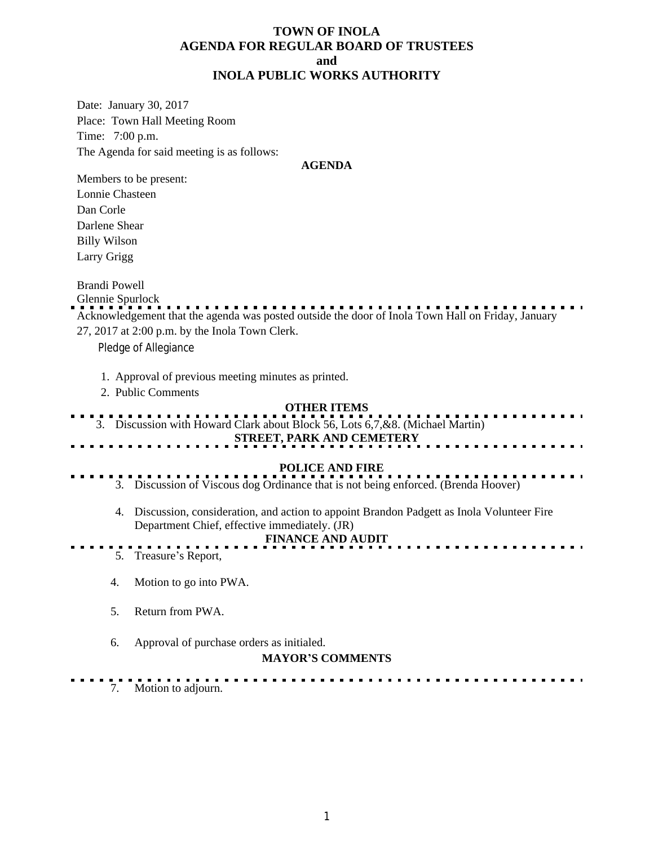## **TOWN OF INOLA AGENDA FOR REGULAR BOARD OF TRUSTEES and INOLA PUBLIC WORKS AUTHORITY**

Date: January 30, 2017 Place: Town Hall Meeting Room Time: 7:00 p.m. The Agenda for said meeting is as follows:

### **AGENDA**

Members to be present: Lonnie Chasteen Dan Corle Darlene Shear Billy Wilson Larry Grigg

Brandi Powell

Glennie Spurlock

Acknowledgement that the agenda was posted outside the door of Inola Town Hall on Friday, January 27, 2017 at 2:00 p.m. by the Inola Town Clerk.

Pledge of Allegiance

- 1. Approval of previous meeting minutes as printed.
- 2. Public Comments

# **OTHER ITEMS**

. . . . . . . . . . . . . . . . . . . . . 3. Discussion with Howard Clark about Block 56, Lots 6,7,&8. (Michael Martin)

# **STREET, PARK AND CEMETERY**

- **POLICE AND FIRE** 3. Discussion of Viscous dog Ordinance that is not being enforced. (Brenda Hoover)
	- 4. Discussion, consideration, and action to appoint Brandon Padgett as Inola Volunteer Fire Department Chief, effective immediately. (JR)

### **FINANCE AND AUDIT**

- 5. Treasure's Report,
	- 4. Motion to go into PWA.
	- 5. Return from PWA.
	- 6. Approval of purchase orders as initialed.

### **MAYOR'S COMMENTS**

7. Motion to adjourn.